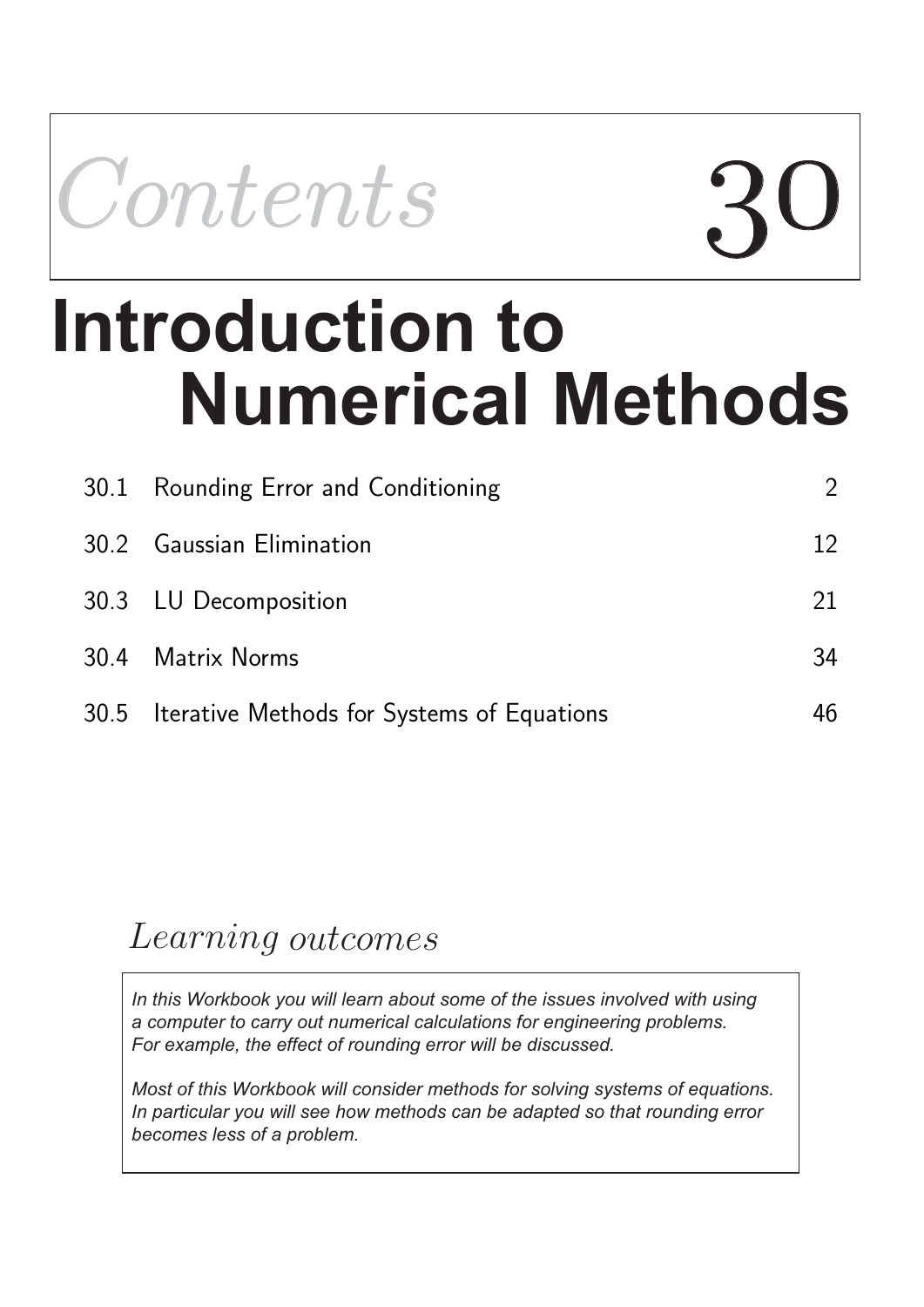

# **Numerical Methods Introduction to**

| 30.1 Rounding Error and Conditioning            | $\overline{2}$ |
|-------------------------------------------------|----------------|
| 30.2 Gaussian Elimination                       | 12             |
| 30.3 LU Decomposition                           | 21             |
| 30.4 Matrix Norms                               | 34             |
| 30.5 Iterative Methods for Systems of Equations | 46             |

## Learning outcomes

*In this Workbook you will learn about some of the issues involved with using a computer to carry out numerical calculations for engineering problems. For example, the effect of rounding error will be discussed.*

*Most of this Workbook will consider methods for solving systems of equations. In particular you will see how methods can be adapted so that rounding error becomes less of a problem.*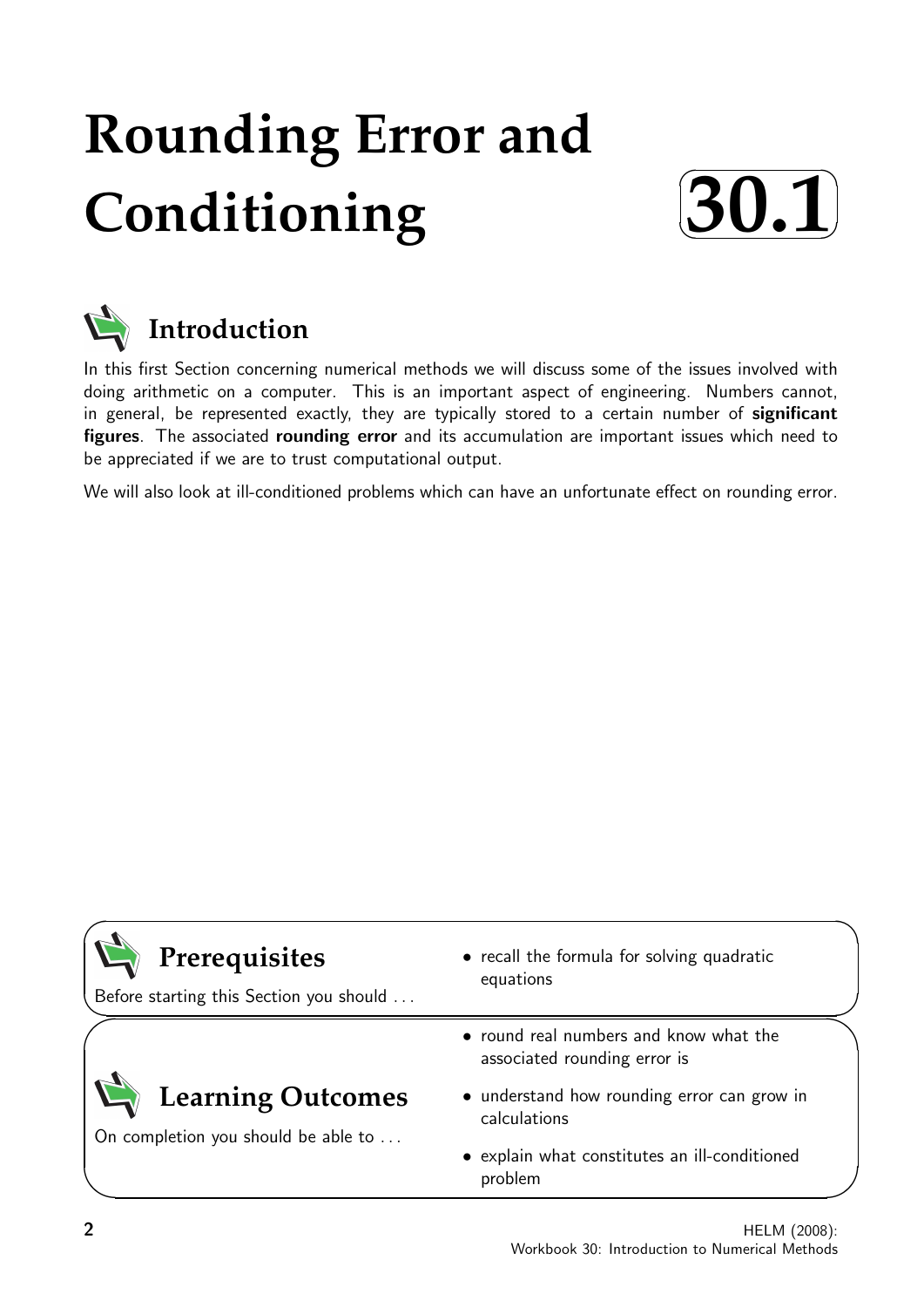## **Rounding Error and Conditioning**





In this first Section concerning numerical methods we will discuss some of the issues involved with doing arithmetic on a computer. This is an important aspect of engineering. Numbers cannot, in general, be represented exactly, they are typically stored to a certain number of significant figures. The associated rounding error and its accumulation are important issues which need to be appreciated if we are to trust computational output.

We will also look at ill-conditioned problems which can have an unfortunate effect on rounding error.

| Prerequisites<br>Before starting this Section you should        | • recall the formula for solving quadratic<br>equations                |
|-----------------------------------------------------------------|------------------------------------------------------------------------|
|                                                                 | • round real numbers and know what the<br>associated rounding error is |
| <b>Learning Outcomes</b><br>On completion you should be able to | • understand how rounding error can grow in<br>calculations            |
|                                                                 | • explain what constitutes an ill-conditioned<br>problem               |

 $\overline{\phantom{0}}$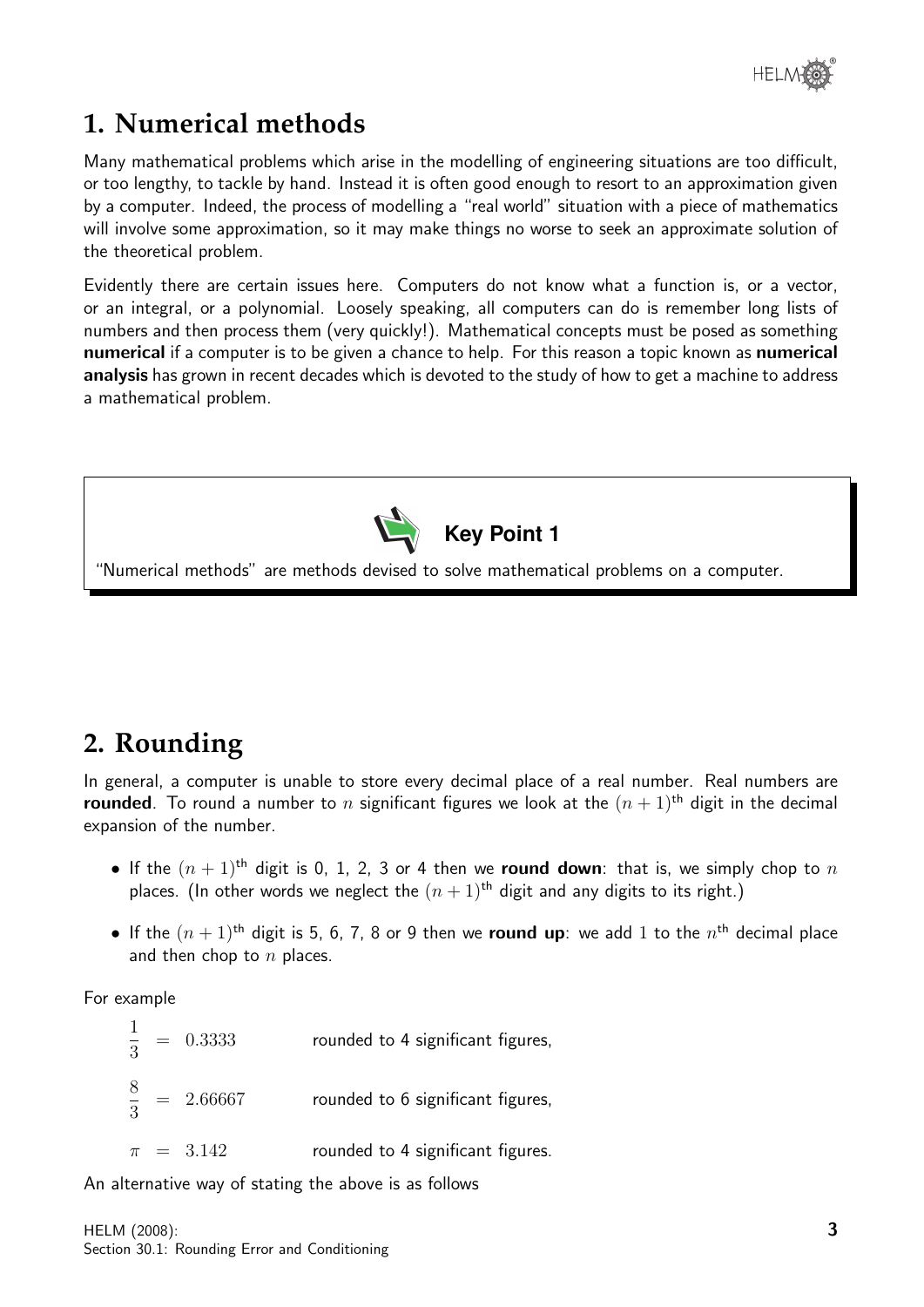## **1. Numerical methods**

Many mathematical problems which arise in the modelling of engineering situations are too difficult, or too lengthy, to tackle by hand. Instead it is often good enough to resort to an approximation given by a computer. Indeed, the process of modelling a "real world" situation with a piece of mathematics will involve some approximation, so it may make things no worse to seek an approximate solution of the theoretical problem.

Evidently there are certain issues here. Computers do not know what a function is, or a vector, or an integral, or a polynomial. Loosely speaking, all computers can do is remember long lists of numbers and then process them (very quickly!). Mathematical concepts must be posed as something numerical if a computer is to be given a chance to help. For this reason a topic known as numerical analysis has grown in recent decades which is devoted to the study of how to get a machine to address a mathematical problem.



## **2. Rounding**

In general, a computer is unable to store every decimal place of a real number. Real numbers are **rounded**. To round a number to n significant figures we look at the  $(n + 1)$ <sup>th</sup> digit in the decimal expansion of the number.

- If the  $(n + 1)$ <sup>th</sup> digit is 0, 1, 2, 3 or 4 then we **round down**: that is, we simply chop to n places. (In other words we neglect the  $(n + 1)$ <sup>th</sup> digit and any digits to its right.)
- If the  $(n+1)$ <sup>th</sup> digit is 5, 6, 7, 8 or 9 then we round up: we add 1 to the  $n^{\text{th}}$  decimal place and then chop to  $n$  places.

For example

1 3 rounded to 4 significant figures, 8 3 rounded to 6 significant figures,  $\pi$  = 3.142 rounded to 4 significant figures.

An alternative way of stating the above is as follows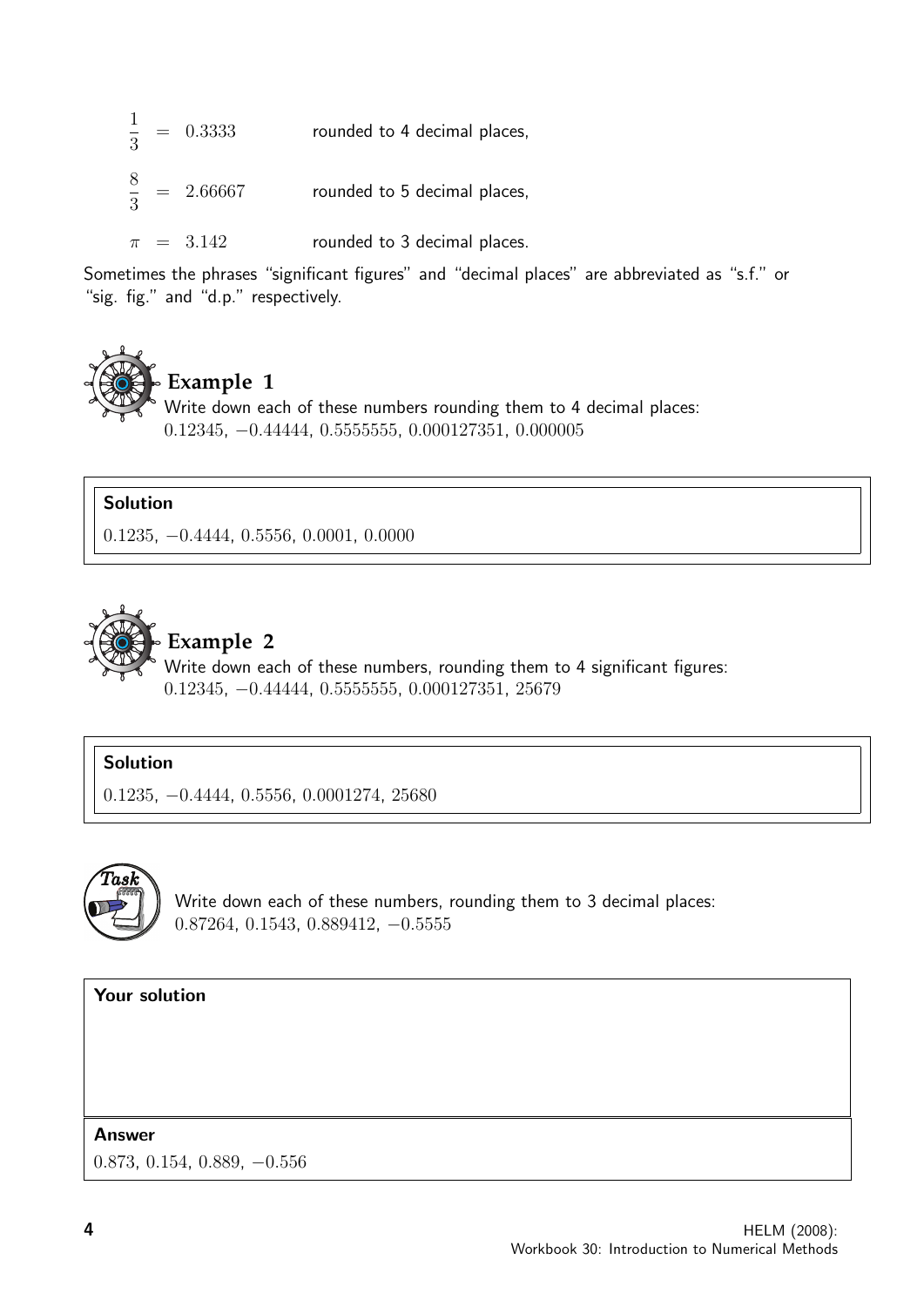|  | $\frac{1}{3}$ = 0.3333  | rounded to 4 decimal places, |
|--|-------------------------|------------------------------|
|  | $\frac{8}{3}$ = 2.66667 | rounded to 5 decimal places, |
|  | $\pi = 3.142$           | rounded to 3 decimal places. |

Sometimes the phrases "significant figures" and "decimal places" are abbreviated as "s.f." or "sig. fig." and "d.p." respectively.



### **Example 1**

Write down each of these numbers rounding them to 4 decimal places: 0.12345, −0.44444, 0.5555555, 0.000127351, 0.000005

#### Solution

0.1235, −0.4444, 0.5556, 0.0001, 0.0000



## **Example 2**

Write down each of these numbers, rounding them to 4 significant figures: 0.12345, −0.44444, 0.5555555, 0.000127351, 25679

#### Solution

0.1235, −0.4444, 0.5556, 0.0001274, 25680



Write down each of these numbers, rounding them to 3 decimal places: 0.87264, 0.1543, 0.889412, −0.5555

#### Your solution

#### Answer

0.873, 0.154, 0.889, −0.556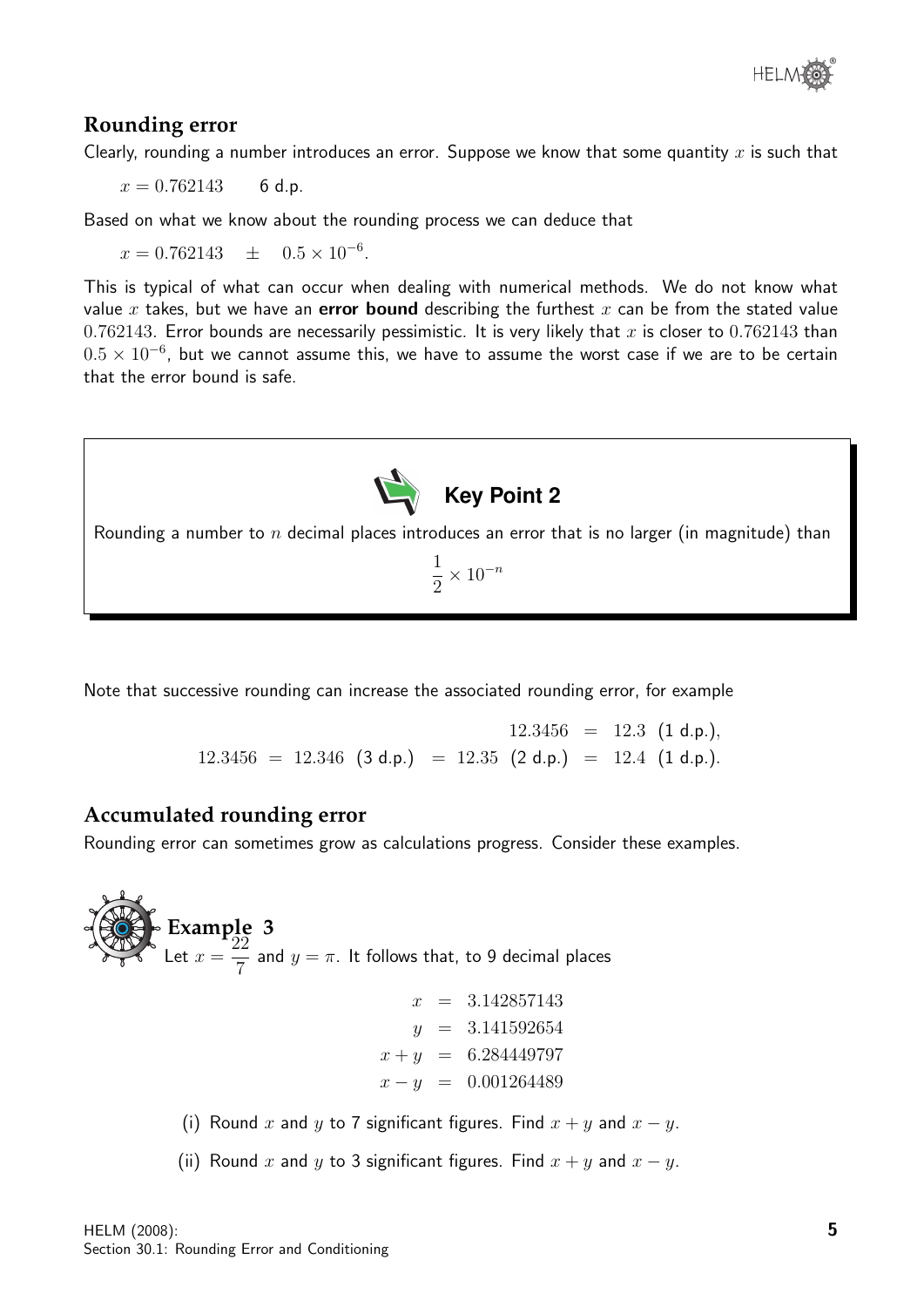

### **Rounding error**

Clearly, rounding a number introduces an error. Suppose we know that some quantity  $x$  is such that

 $x = 0.762143$  6 d.p.

Based on what we know about the rounding process we can deduce that

 $x = 0.762143 \pm 0.5 \times 10^{-6}.$ 

This is typical of what can occur when dealing with numerical methods. We do not know what value x takes, but we have an error bound describing the furthest x can be from the stated value 0.762143. Error bounds are necessarily pessimistic. It is very likely that x is closer to 0.762143 than  $0.5 \times 10^{-6}$ , but we cannot assume this, we have to assume the worst case if we are to be certain that the error bound is safe.



Rounding a number to n decimal places introduces an error that is no larger (in magnitude) than

1 2  $\times$  10<sup>-n</sup>

Note that successive rounding can increase the associated rounding error, for example

 $12.3456 = 12.3$  (1 d.p.),  $12.3456 = 12.346$  (3 d.p.) = 12.35 (2 d.p.) = 12.4 (1 d.p.).

#### **Accumulated rounding error**

Rounding error can sometimes grow as calculations progress. Consider these examples.

**Example 3** Let  $x =$ 22 7 and  $y = \pi$ . It follows that, to 9 decimal places  $x = 3.142857143$  $y = 3.141592654$  $x + y = 6.284449797$  $x - y = 0.001264489$ (i) Round x and y to 7 significant figures. Find  $x + y$  and  $x - y$ . (ii) Round x and y to 3 significant figures. Find  $x + y$  and  $x - y$ .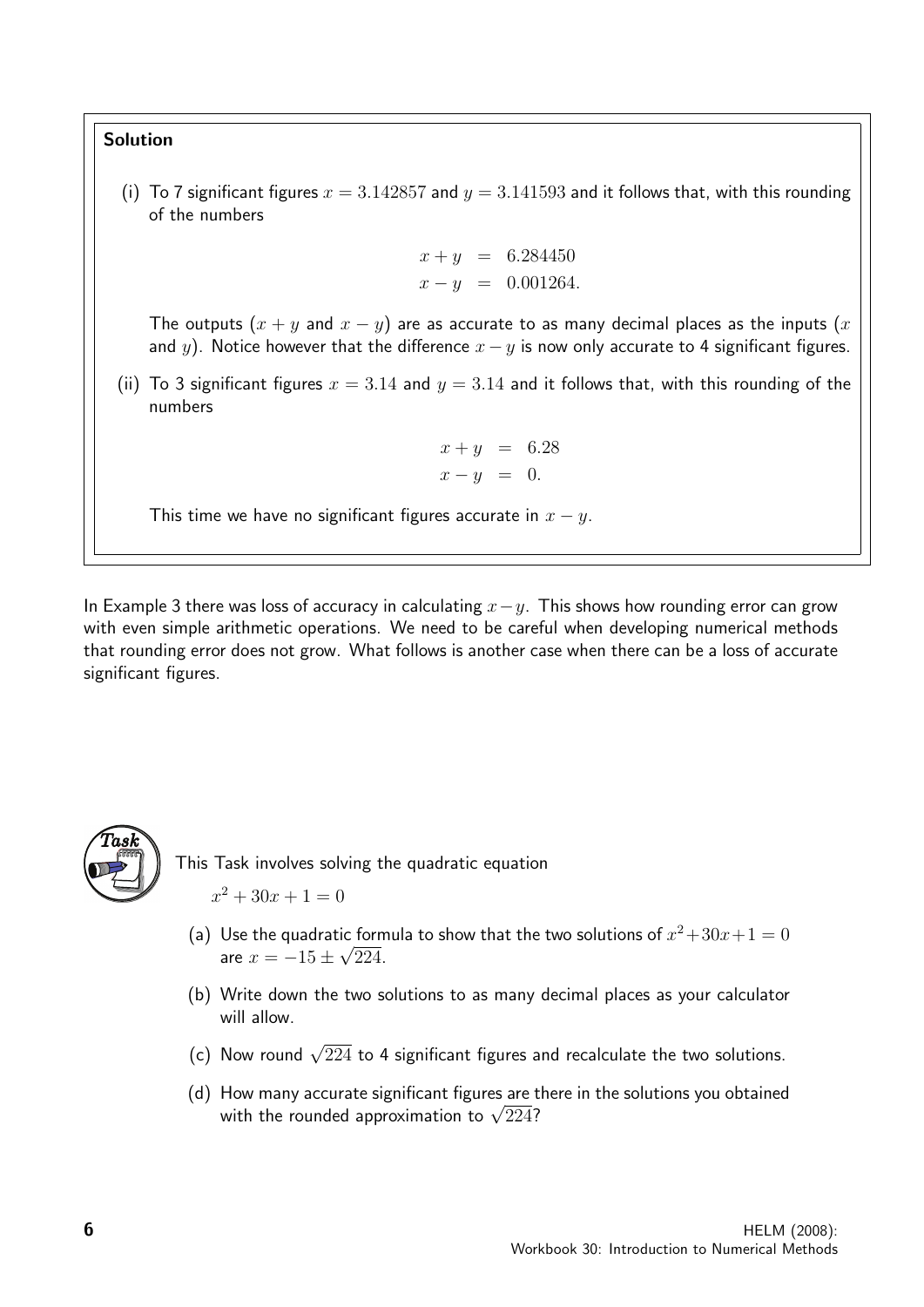### Solution

(i) To 7 significant figures  $x = 3.142857$  and  $y = 3.141593$  and it follows that, with this rounding of the numbers

$$
x + y = 6.284450
$$
  

$$
x - y = 0.001264.
$$

The outputs  $(x + y)$  and  $x - y$ ) are as accurate to as many decimal places as the inputs  $(x + y)$ and y). Notice however that the difference  $x - y$  is now only accurate to 4 significant figures.

(ii) To 3 significant figures  $x = 3.14$  and  $y = 3.14$  and it follows that, with this rounding of the numbers

$$
x + y = 6.28
$$
  

$$
x - y = 0.
$$

This time we have no significant figures accurate in  $x - y$ .

In Example 3 there was loss of accuracy in calculating  $x-y$ . This shows how rounding error can grow with even simple arithmetic operations. We need to be careful when developing numerical methods that rounding error does not grow. What follows is another case when there can be a loss of accurate significant figures.



This Task involves solving the quadratic equation

- $x^2 + 30x + 1 = 0$
- (a) Use the quadratic formula to show that the two solutions of  $x^2 + 30x + 1 = 0$ are  $x = -15 \pm \sqrt{224}$ .
- (b) Write down the two solutions to as many decimal places as your calculator will allow.
- (c) Now round  $\sqrt{224}$  to 4 significant figures and recalculate the two solutions.
- (d) How many accurate significant figures are there in the solutions you obtained How many accurate significant figures are t<br>with the rounded approximation to  $\sqrt{224}$ ?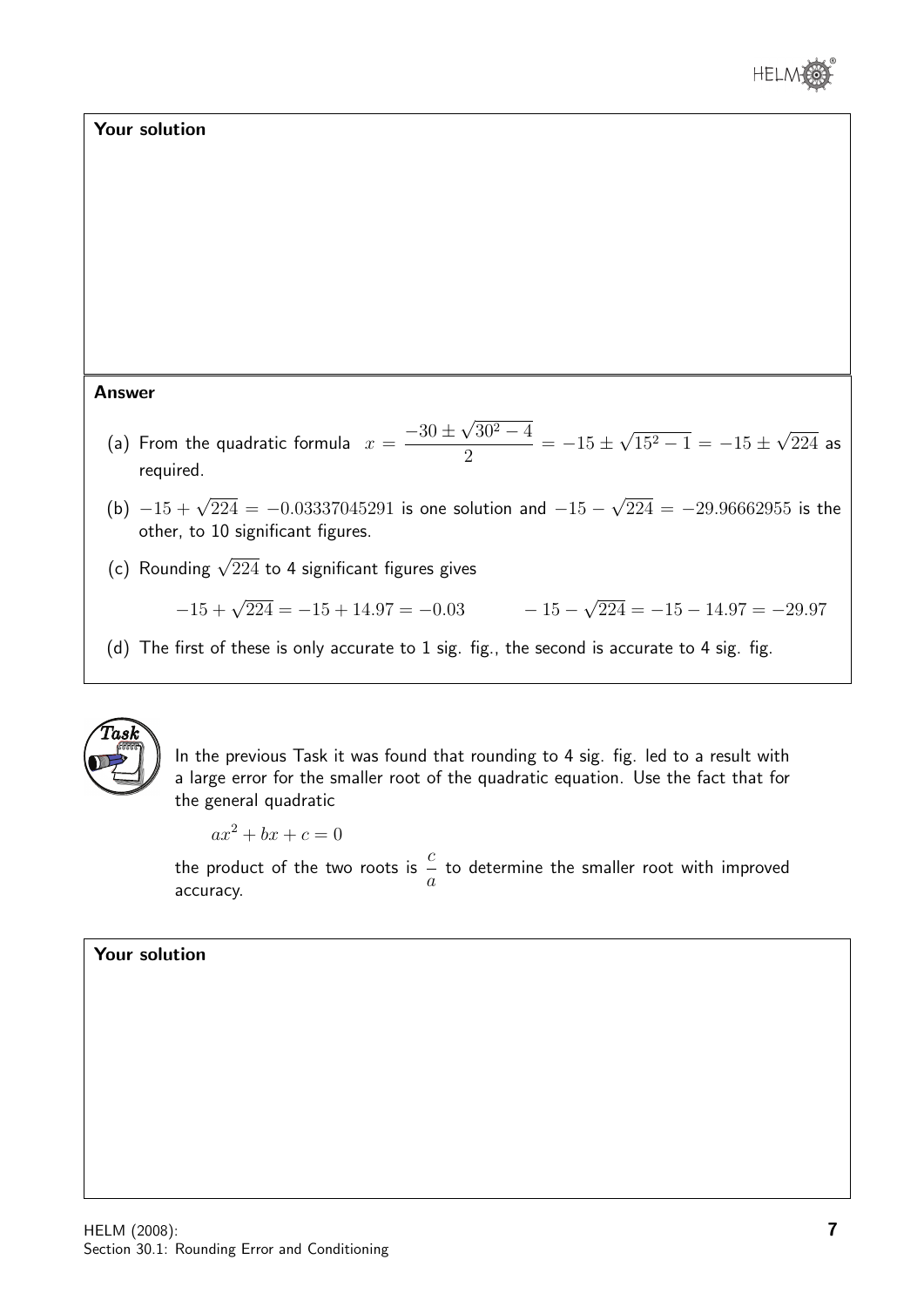

#### Your solution

#### Answer

- (a) From the quadratic formula  $\hspace{.1cm} x =$  $-30\,\pm\,$ √  $30^2 - 4$ 2  $=-15\pm$ √  $15^2 - 1 = -15 \pm$ √ 224 as required.
- (b)  $-15 + \sqrt{224} = -0.03337045291$  is one solution and  $-15 -$ √  $224 = -29.96662955$  is the other, to 10 significant figures.
- (c) Rounding  $\sqrt{224}$  to 4 significant figures gives

$$
-15 + \sqrt{224} = -15 + 14.97 = -0.03
$$
  

$$
-15 - \sqrt{224} = -15 - 14.97 = -29.97
$$

(d) The first of these is only accurate to 1 sig. fig., the second is accurate to 4 sig. fig.



In the previous Task it was found that rounding to 4 sig. fig. led to a result with a large error for the smaller root of the quadratic equation. Use the fact that for the general quadratic

 $ax^2 + bx + c = 0$ 

the product of the two roots is  $\frac{c}{-}$ a to determine the smaller root with improved accuracy.

#### Your solution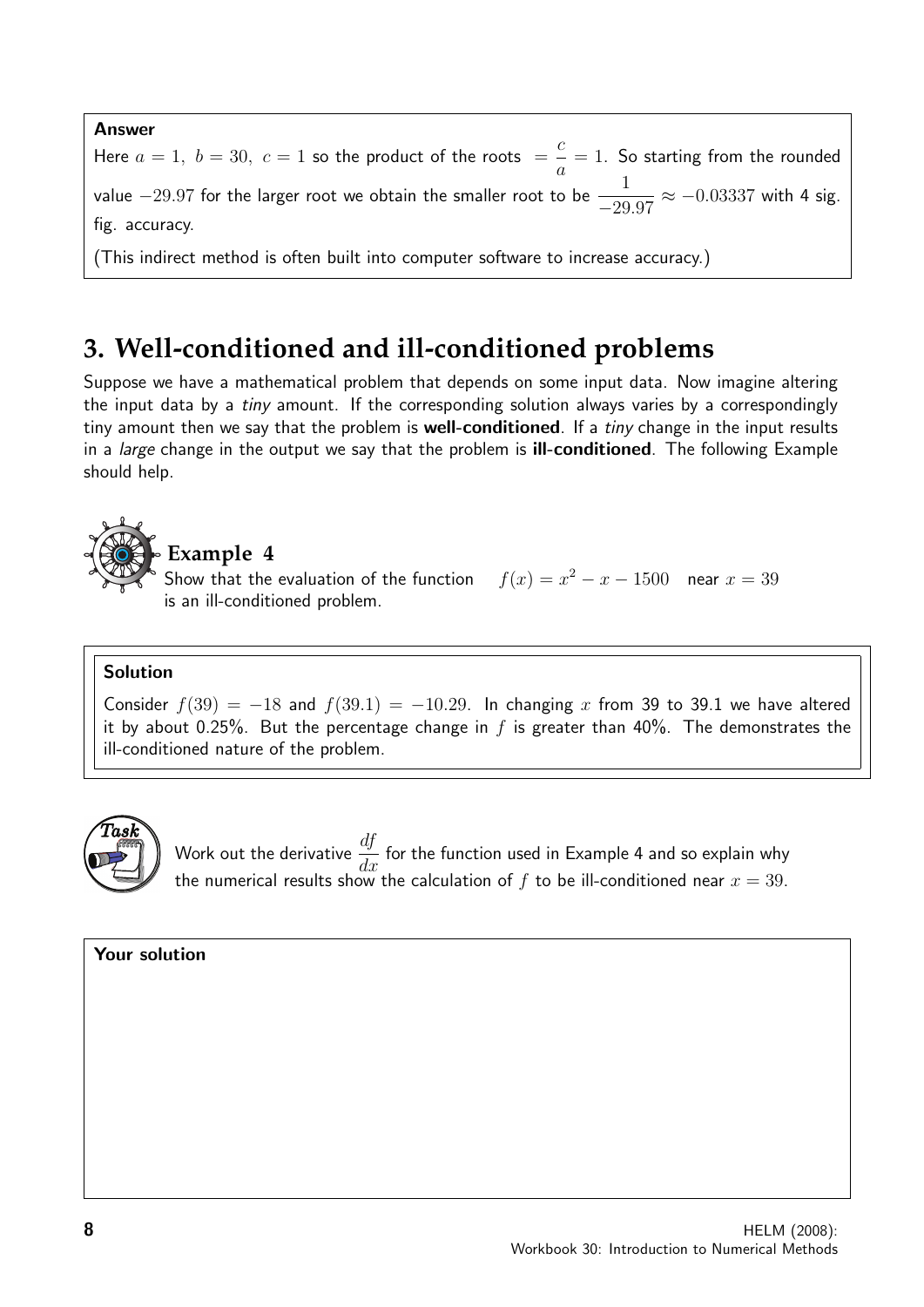#### Answer

Here  $a=1, b=30, c=1$  so the product of the roots  $=$ c a  $= 1$ . So starting from the rounded value  $-29.97$  for the larger root we obtain the smaller root to be  $-\frac{1}{20}$ −29.97  $\approx -0.03337$  with 4 sig. fig. accuracy.

(This indirect method is often built into computer software to increase accuracy.)

## **3. Well-conditioned and ill-conditioned problems**

Suppose we have a mathematical problem that depends on some input data. Now imagine altering the input data by a *tiny* amount. If the corresponding solution always varies by a correspondingly tiny amount then we say that the problem is **well-conditioned**. If a *tiny* change in the input results in a *large* change in the output we say that the problem is **ill-conditioned**. The following Example should help.



is an ill-conditioned problem.

Show that the evaluation of the function  $f(x) = x^2 - x - 1500$  near  $x = 39$ 

#### Solution

Consider  $f(39) = -18$  and  $f(39.1) = -10.29$ . In changing x from 39 to 39.1 we have altered it by about 0.25%. But the percentage change in f is greater than 40%. The demonstrates the ill-conditioned nature of the problem.



Work out the derivative  $\frac{df}{dt}$  $\frac{dy}{dx}$  for the function used in Example 4 and so explain why the numerical results show the calculation of  $f$  to be ill-conditioned near  $x=39.$ 

Your solution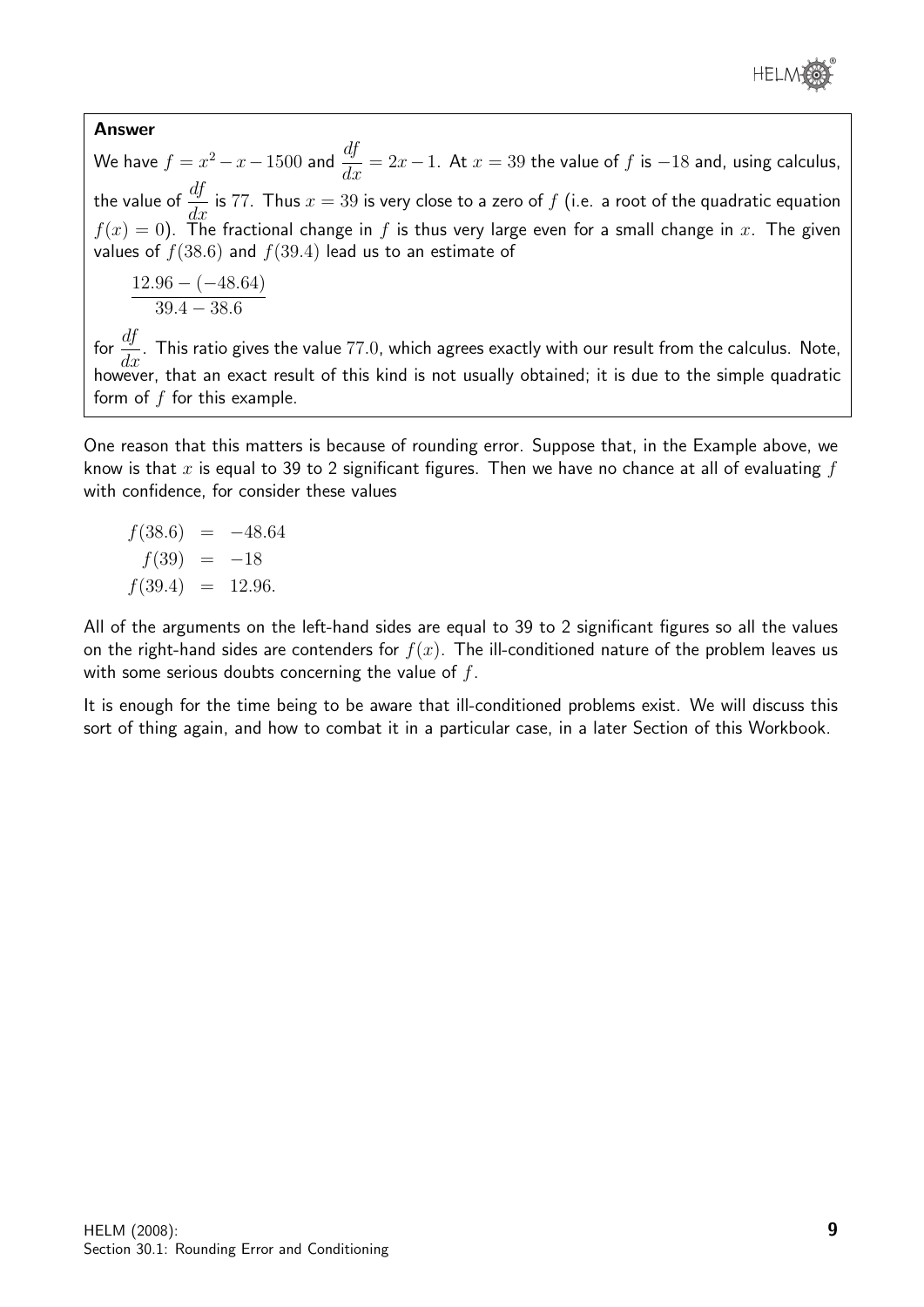

#### Answer

We have  $f = x^2 - x - 1500$  and  $\frac{df}{dx} = 2x - 1$ . At  $x = 39$  the value of  $f$  is  $-18$  and, using calculus, the value of  $\frac{df}{dt}$  $\frac{dy}{dx}$  is 77. Thus  $x = 39$  is very close to a zero of  $f$  (i.e. a root of the quadratic equation  $f(x) = 0$ . The fractional change in f is thus very large even for a small change in x. The given values of  $f(38.6)$  and  $f(39.4)$  lead us to an estimate of

$$
\frac{12.96 - (-48.64)}{39.4 - 38.6}
$$

for  $\frac{df}{dx}$  $\frac{dy}{dx}$ . This ratio gives the value 77.0, which agrees exactly with our result from the calculus. Note, however, that an exact result of this kind is not usually obtained; it is due to the simple quadratic form of  $f$  for this example.

One reason that this matters is because of rounding error. Suppose that, in the Example above, we know is that x is equal to 39 to 2 significant figures. Then we have no chance at all of evaluating  $f$ with confidence, for consider these values

$$
f(38.6) = -48.64
$$
  

$$
f(39) = -18
$$
  

$$
f(39.4) = 12.96.
$$

All of the arguments on the left-hand sides are equal to 39 to 2 significant figures so all the values on the right-hand sides are contenders for  $f(x)$ . The ill-conditioned nature of the problem leaves us with some serious doubts concerning the value of  $f$ .

It is enough for the time being to be aware that ill-conditioned problems exist. We will discuss this sort of thing again, and how to combat it in a particular case, in a later Section of this Workbook.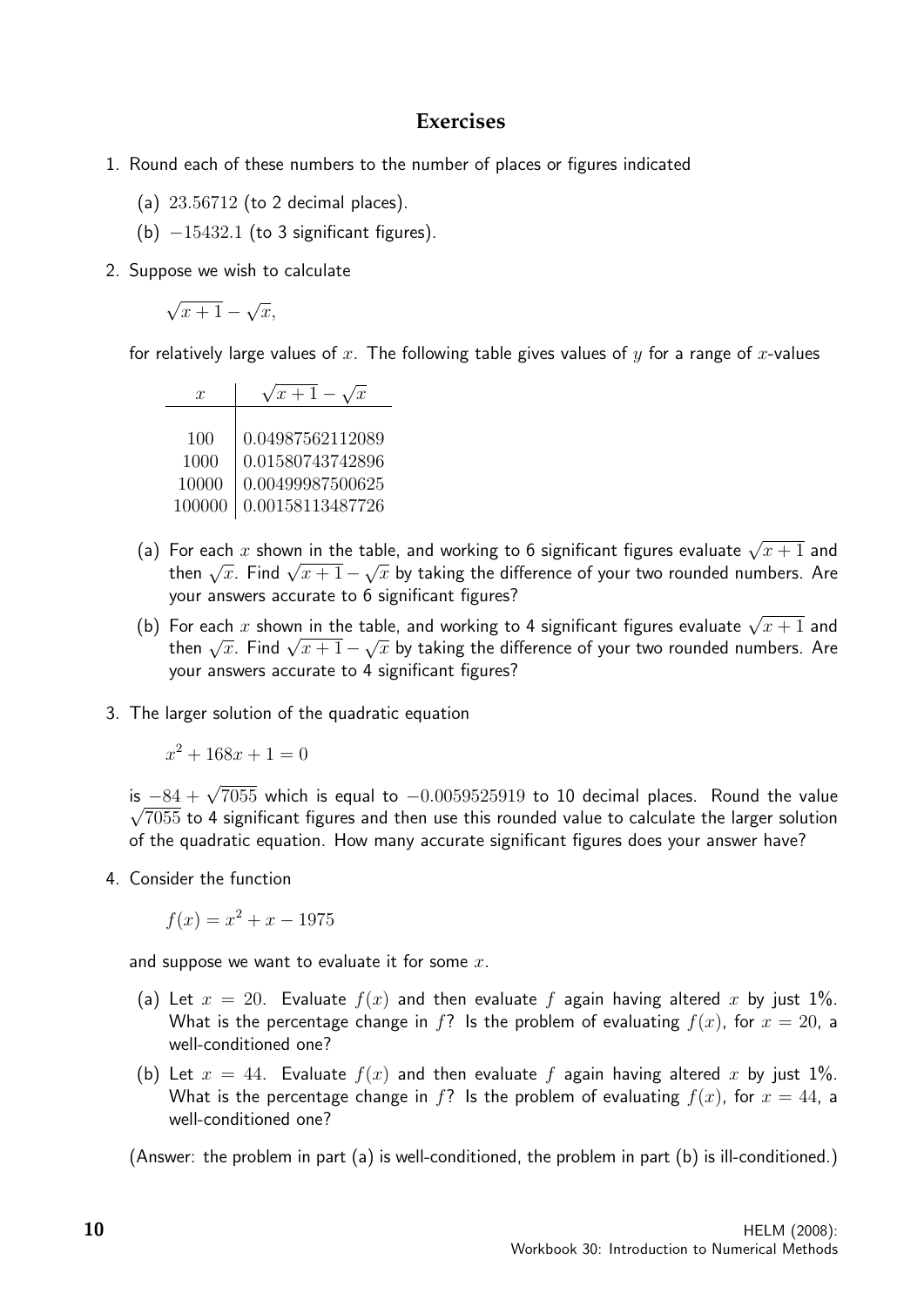### **Exercises**

- 1. Round each of these numbers to the number of places or figures indicated
	- (a) 23.56712 (to 2 decimal places).
	- (b)  $-15432.1$  (to 3 significant figures).
- 2. Suppose we wish to calculate

$$
\sqrt{x+1} - \sqrt{x},
$$

for relatively large values of x. The following table gives values of y for a range of x-values

| $\mathcal{X}$ | $\sqrt{x+1} - \sqrt{x}$ |
|---------------|-------------------------|
|               |                         |
| 100           | 0.04987562112089        |
| 1000          | 0.01580743742896        |
| 10000         | 0.00499987500625        |
| 100000        | 0.00158113487726        |

- (a) For each x shown in the table, and working to 6 significant figures evaluate  $\sqrt{x+1}$  and For eacn x snown in the table, and working to 0 significant figures evaluate  $\sqrt{x} + 1$  and<br>then  $\sqrt{x}$ . Find  $\sqrt{x+1} - \sqrt{x}$  by taking the difference of your two rounded numbers. Are your answers accurate to 6 significant figures?
- (b) For each x shown in the table, and working to 4 significant figures evaluate  $\sqrt{x+1}$  and For eacn x snown in the table, and working to 4 significant figures evaluate  $\sqrt{x} + 1$  and<br>then  $\sqrt{x}$ . Find  $\sqrt{x+1} - \sqrt{x}$  by taking the difference of your two rounded numbers. Are your answers accurate to 4 significant figures?
- 3. The larger solution of the quadratic equation

 $x^2 + 168x + 1 = 0$ 

is  $-84 + \sqrt{7055}$  which is equal to  $-0.0059525919$  to 10 decimal places. Round the value  $\sqrt{7055}$  to 4 significant figures and then use this rounded value to calculate the larger solution of the quadratic equation. How many accurate significant figures does your answer have?

4. Consider the function

 $f(x) = x^2 + x - 1975$ 

and suppose we want to evaluate it for some  $x$ .

- (a) Let  $x = 20$ . Evaluate  $f(x)$  and then evaluate f again having altered x by just 1%. What is the percentage change in f? Is the problem of evaluating  $f(x)$ , for  $x = 20$ , a well-conditioned one?
- (b) Let  $x = 44$ . Evaluate  $f(x)$  and then evaluate f again having altered x by just 1%. What is the percentage change in f? Is the problem of evaluating  $f(x)$ , for  $x = 44$ , a well-conditioned one?

(Answer: the problem in part (a) is well-conditioned, the problem in part (b) is ill-conditioned.)